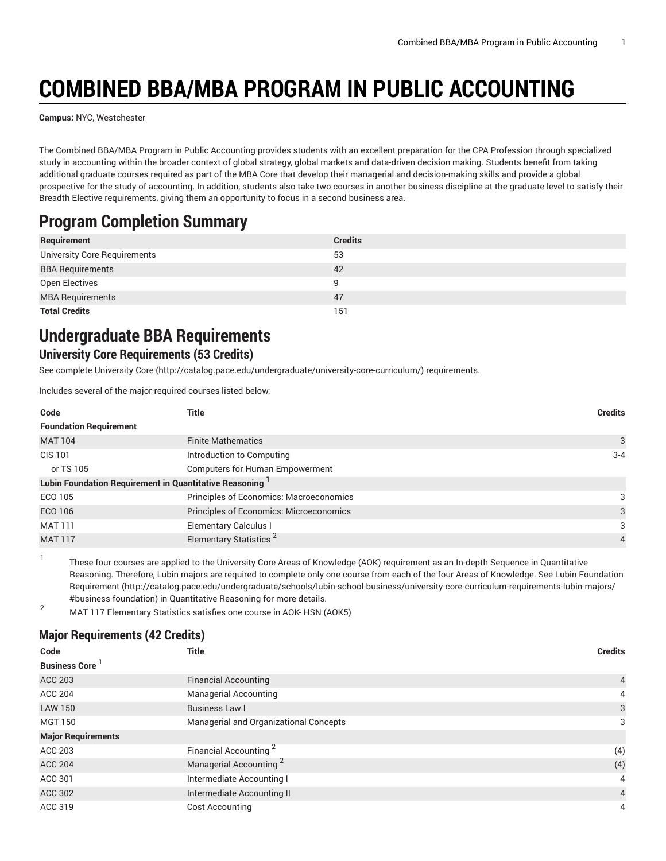# **COMBINED BBA/MBA PROGRAM IN PUBLIC ACCOUNTING**

**Campus:** NYC, Westchester

The Combined BBA/MBA Program in Public Accounting provides students with an excellent preparation for the CPA Profession through specialized study in accounting within the broader context of global strategy, global markets and data-driven decision making. Students benefit from taking additional graduate courses required as part of the MBA Core that develop their managerial and decision-making skills and provide a global prospective for the study of accounting. In addition, students also take two courses in another business discipline at the graduate level to satisfy their Breadth Elective requirements, giving them an opportunity to focus in a second business area.

# **Program Completion Summary**

| Requirement                         | <b>Credits</b> |
|-------------------------------------|----------------|
| <b>University Core Requirements</b> | 53             |
| <b>BBA Requirements</b>             | 42             |
| Open Electives                      | a              |
| <b>MBA Requirements</b>             | 47             |
| <b>Total Credits</b>                | 151            |

# **Undergraduate BBA Requirements**

#### **University Core Requirements (53 Credits)**

See complete [University](http://catalog.pace.edu/undergraduate/university-core-curriculum/) Core (<http://catalog.pace.edu/undergraduate/university-core-curriculum/>) requirements.

Includes several of the major-required courses listed below:

| Code                                                                | Title                                   | <b>Credits</b> |
|---------------------------------------------------------------------|-----------------------------------------|----------------|
| <b>Foundation Requirement</b>                                       |                                         |                |
| <b>MAT 104</b>                                                      | <b>Finite Mathematics</b>               | 3              |
| CIS 101                                                             | Introduction to Computing               | $3 - 4$        |
| or TS 105                                                           | <b>Computers for Human Empowerment</b>  |                |
| Lubin Foundation Requirement in Quantitative Reasoning <sup>1</sup> |                                         |                |
| ECO 105                                                             | Principles of Economics: Macroeconomics | 3              |
| <b>ECO 106</b>                                                      | Principles of Economics: Microeconomics | 3              |
| <b>MAT 111</b>                                                      | <b>Elementary Calculus I</b>            | 3              |
| <b>MAT 117</b>                                                      | Elementary Statistics <sup>2</sup>      | $\overline{4}$ |

These four courses are applied to the University Core Areas of Knowledge (AOK) requirement as an In-depth Sequence in Quantitative Reasoning. Therefore, Lubin majors are required to complete only one course from each of the four Areas of Knowledge. See Lubin [Foundation](http://catalog.pace.edu/undergraduate/schools/lubin-school-business/university-core-curriculum-requirements-lubin-majors/#business-foundation) [Requirement](http://catalog.pace.edu/undergraduate/schools/lubin-school-business/university-core-curriculum-requirements-lubin-majors/#business-foundation) ([http://catalog.pace.edu/undergraduate/schools/lubin-school-business/university-core-curriculum-requirements-lubin-majors/](http://catalog.pace.edu/undergraduate/schools/lubin-school-business/university-core-curriculum-requirements-lubin-majors/#business-foundation) [#business-foundation\)](http://catalog.pace.edu/undergraduate/schools/lubin-school-business/university-core-curriculum-requirements-lubin-majors/#business-foundation) in Quantitative Reasoning for more details.

<sup>2</sup> MAT <sup>117</sup> Elementary Statistics satisfies one course in AOK- HSN (AOK5)

### **Major Requirements (42 Credits)**

1

| Code                      | <b>Title</b>                           | <b>Credits</b> |
|---------------------------|----------------------------------------|----------------|
| <b>Business Core</b>      |                                        |                |
| <b>ACC 203</b>            | <b>Financial Accounting</b>            | 4              |
| <b>ACC 204</b>            | <b>Managerial Accounting</b>           | 4              |
| <b>LAW 150</b>            | <b>Business Law I</b>                  | 3              |
| <b>MGT 150</b>            | Managerial and Organizational Concepts | 3              |
| <b>Major Requirements</b> |                                        |                |
| ACC 203                   | Financial Accounting <sup>2</sup>      | (4)            |
| <b>ACC 204</b>            | Managerial Accounting <sup>2</sup>     | (4)            |
| ACC 301                   | Intermediate Accounting I              | 4              |
| <b>ACC 302</b>            | Intermediate Accounting II             | $\overline{4}$ |
| ACC 319                   | <b>Cost Accounting</b>                 | 4              |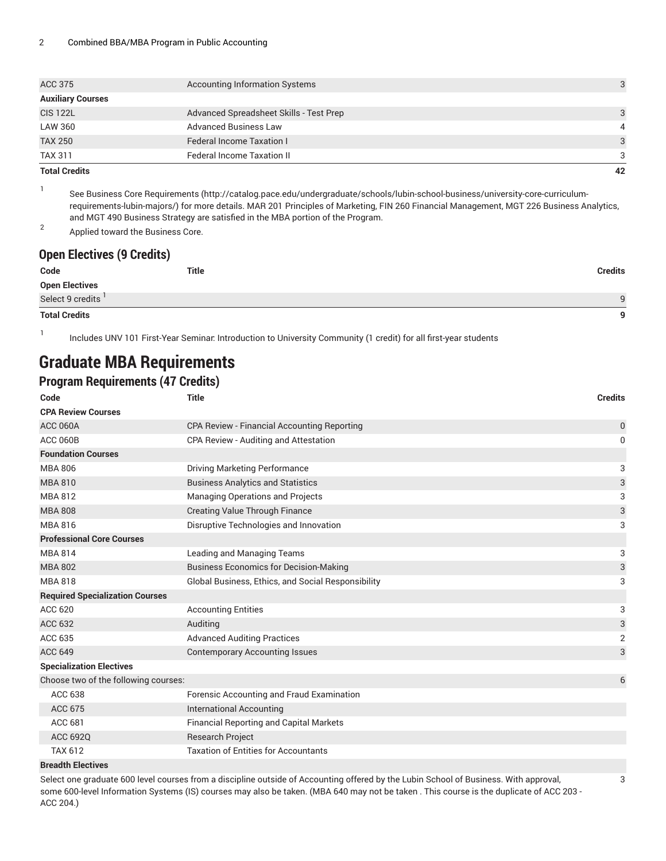| <b>Total Credits</b>     |                                         | 42 |
|--------------------------|-----------------------------------------|----|
| <b>TAX 311</b>           | <b>Federal Income Taxation II</b>       | 3  |
| <b>TAX 250</b>           | <b>Federal Income Taxation I</b>        | 3  |
| <b>LAW 360</b>           | <b>Advanced Business Law</b>            | 4  |
| <b>CIS 122L</b>          | Advanced Spreadsheet Skills - Test Prep | 3  |
| <b>Auxiliary Courses</b> |                                         |    |
| <b>ACC 375</b>           | <b>Accounting Information Systems</b>   |    |
|                          |                                         |    |

1 See Business Core [Requirements](http://catalog.pace.edu/undergraduate/schools/lubin-school-business/university-core-curriculum-requirements-lubin-majors/) ([http://catalog.pace.edu/undergraduate/schools/lubin-school-business/university-core-curriculum](http://catalog.pace.edu/undergraduate/schools/lubin-school-business/university-core-curriculum-requirements-lubin-majors/)[requirements-lubin-majors/\)](http://catalog.pace.edu/undergraduate/schools/lubin-school-business/university-core-curriculum-requirements-lubin-majors/) for more details. MAR 201 Principles of Marketing, FIN 260 Financial Management, MGT 226 Business Analytics, and MGT 490 Business Strategy are satisfied in the MBA portion of the Program.

2 Applied toward the Business Core.

#### **Open Electives (9 Credits)**

| Code<br>Title         | <b>Credits</b> |
|-----------------------|----------------|
| <b>Open Electives</b> |                |
| Select 9 credits      | $\Omega$       |
| <b>Total Credits</b>  | $\mathbf{a}$   |

1 Includes UNV 101 First-Year Seminar: Introduction to University Community (1 credit) for all first-year students

## **Graduate MBA Requirements**

#### **Program Requirements (47 Credits)**

| Code                                   | <b>Title</b>                                       | <b>Credits</b> |
|----------------------------------------|----------------------------------------------------|----------------|
| <b>CPA Review Courses</b>              |                                                    |                |
| <b>ACC 060A</b>                        | CPA Review - Financial Accounting Reporting        | 0              |
| <b>ACC 060B</b>                        | CPA Review - Auditing and Attestation              | 0              |
| <b>Foundation Courses</b>              |                                                    |                |
| <b>MBA 806</b>                         | <b>Driving Marketing Performance</b>               | 3              |
| <b>MBA 810</b>                         | <b>Business Analytics and Statistics</b>           | 3              |
| <b>MBA 812</b>                         | <b>Managing Operations and Projects</b>            | 3              |
| <b>MBA 808</b>                         | <b>Creating Value Through Finance</b>              | 3              |
| <b>MBA 816</b>                         | Disruptive Technologies and Innovation             | 3              |
| <b>Professional Core Courses</b>       |                                                    |                |
| <b>MBA814</b>                          | Leading and Managing Teams                         | 3              |
| <b>MBA 802</b>                         | <b>Business Economics for Decision-Making</b>      | 3              |
| <b>MBA818</b>                          | Global Business, Ethics, and Social Responsibility | 3              |
| <b>Required Specialization Courses</b> |                                                    |                |
| ACC 620                                | <b>Accounting Entities</b>                         | 3              |
| <b>ACC 632</b>                         | Auditing                                           | $\mathsf{3}$   |
| ACC 635                                | <b>Advanced Auditing Practices</b>                 | $\overline{2}$ |
| <b>ACC 649</b>                         | <b>Contemporary Accounting Issues</b>              | 3              |
| <b>Specialization Electives</b>        |                                                    |                |
| Choose two of the following courses:   |                                                    | 6              |
| <b>ACC 638</b>                         | Forensic Accounting and Fraud Examination          |                |
| <b>ACC 675</b>                         | <b>International Accounting</b>                    |                |
| ACC 681                                | <b>Financial Reporting and Capital Markets</b>     |                |
| ACC 692Q                               | <b>Research Project</b>                            |                |
| <b>TAX 612</b>                         | <b>Taxation of Entities for Accountants</b>        |                |
| <b>Breadth Electives</b>               |                                                    |                |

Select one graduate 600 level courses from a discipline outside of Accounting offered by the Lubin School of Business. With approval, some 600-level Information Systems (IS) courses may also be taken. (MBA 640 may not be taken . This course is the duplicate of ACC 203 - ACC 204.)